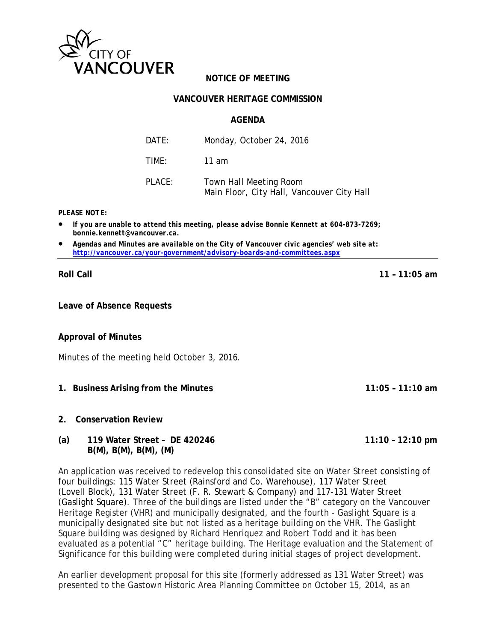

# **NOTICE OF MEETING**

#### **VANCOUVER HERITAGE COMMISSION**

#### **AGENDA**

| DATE:  | Monday, October 24, 2016                                             |
|--------|----------------------------------------------------------------------|
| TIMF:  | 11 am                                                                |
| PLACE: | Town Hall Meeting Room<br>Main Floor, City Hall, Vancouver City Hall |

*PLEASE NOTE:*

- *If you are unable to attend this meeting, please advise Bonnie Kennett at 604-873-7269; bonnie.kennett@vancouver.ca.*
- *Agendas and Minutes are available on the City of Vancouver civic agencies' web site at: <http://vancouver.ca/your-government/advisory-boards-and-committees.aspx>*

**Roll Call 11 – 11:05 am**

**Leave of Absence Requests**

**Approval of Minutes**

Minutes of the meeting held October 3, 2016.

- **1. Business Arising from the Minutes 11:05 11:10 am**
- **2. Conservation Review**

### **(a) 119 Water Street – DE 420246 11:10 – 12:10 pm B(M), B(M), B(M), (M)**

An application was received to redevelop this consolidated site on Water Street consisting of four buildings: 115 Water Street (Rainsford and Co. Warehouse), 117 Water Street (Lovell Block), 131 Water Street (F. R. Stewart & Company) and 117-131 Water Street (Gaslight Square). Three of the buildings are listed under the "B" category on the Vancouver Heritage Register (VHR) and municipally designated, and the fourth - Gaslight Square is a municipally designated site but not listed as a heritage building on the VHR. The Gaslight Square building was designed by Richard Henriquez and Robert Todd and it has been evaluated as a potential "C" heritage building. The Heritage evaluation and the Statement of Significance for this building were completed during initial stages of project development.

An earlier development proposal for this site (formerly addressed as 131 Water Street) was presented to the Gastown Historic Area Planning Committee on October 15, 2014, as an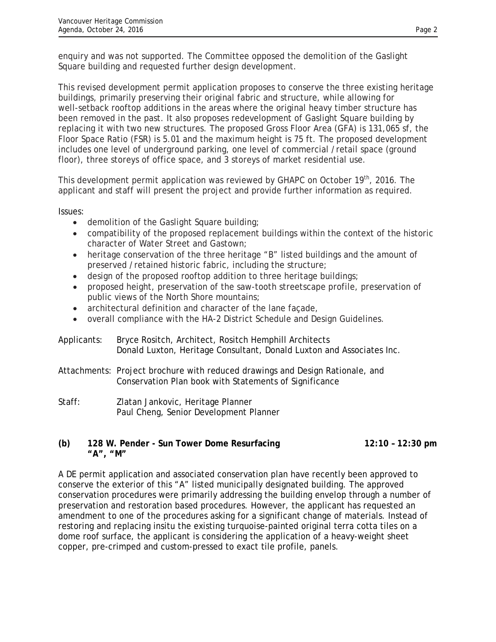enquiry and was not supported. The Committee opposed the demolition of the Gaslight Square building and requested further design development.

This revised development permit application proposes to conserve the three existing heritage buildings, primarily preserving their original fabric and structure, while allowing for well-setback rooftop additions in the areas where the original heavy timber structure has been removed in the past. It also proposes redevelopment of Gaslight Square building by replacing it with two new structures. The proposed Gross Floor Area (GFA) is 131,065 sf, the Floor Space Ratio (FSR) is 5.01 and the maximum height is 75 ft. The proposed development includes one level of underground parking, one level of commercial /retail space (ground floor), three storeys of office space, and 3 storeys of market residential use.

This development permit application was reviewed by GHAPC on October 19<sup>th</sup>, 2016. The applicant and staff will present the project and provide further information as required.

Issues:

- demolition of the Gaslight Square building;
- compatibility of the proposed replacement buildings within the context of the historic character of Water Street and Gastown;
- heritage conservation of the three heritage "B" listed buildings and the amount of preserved /retained historic fabric, including the structure;
- design of the proposed rooftop addition to three heritage buildings;
- proposed height, preservation of the saw-tooth streetscape profile, preservation of public views of the North Shore mountains;
- architectural definition and character of the lane façade,
- overall compliance with the HA-2 District Schedule and Design Guidelines.

Applicants: Bryce Rositch, Architect, Rositch Hemphill Architects Donald Luxton, Heritage Consultant, Donald Luxton and Associates Inc.

- Attachments: Project brochure with reduced drawings and Design Rationale, and Conservation Plan book with Statements of Significance
- Staff: Zlatan Jankovic, Heritage Planner Paul Cheng, Senior Development Planner

## **(b) 128 W. Pender - Sun Tower Dome Resurfacing 12:10 – 12:30 pm "A", "M"**

A DE permit application and associated conservation plan have recently been approved to conserve the exterior of this "A" listed municipally designated building. The approved conservation procedures were primarily addressing the building envelop through a number of preservation and restoration based procedures. However, the applicant has requested an amendment to one of the procedures asking for a significant change of materials. Instead of restoring and replacing insitu the existing turquoise-painted original terra cotta tiles on a dome roof surface, the applicant is considering the application of a heavy-weight sheet copper, pre-crimped and custom-pressed to exact tile profile, panels.